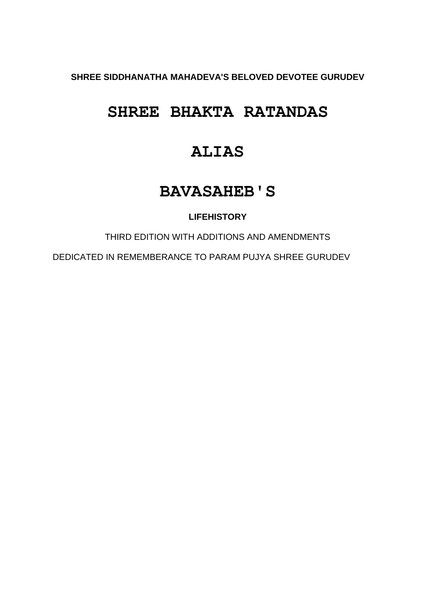**SHREE SIDDHANATHA MAHADEVA'S BELOVED DEVOTEE GURUDEV**

# **SHREE BHAKTA RATANDAS**

# **ALIAS**

# **BAVASAHEB'S**

# **LIFEHISTORY**

THIRD EDITION WITH ADDITIONS AND AMENDMENTS

DEDICATED IN REMEMBERANCE TO PARAM PUJYA SHREE GURUDEV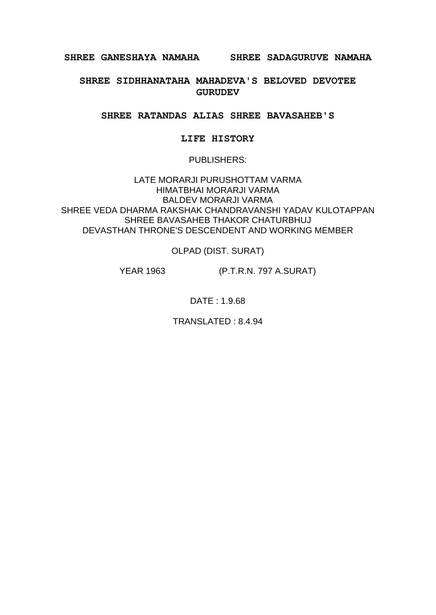**SHREE GANESHAYA NAMAHA SHREE SADAGURUVE NAMAHA**

**SHREE SIDHHANATAHA MAHADEVA'S BELOVED DEVOTEE GURUDEV**

**SHREE RATANDAS ALIAS SHREE BAVASAHEB'S**

#### **LIFE HISTORY**

#### PUBLISHERS:

LATE MORARJI PURUSHOTTAM VARMA HIMATBHAI MORARJI VARMA BALDEV MORARJI VARMA SHREE VEDA DHARMA RAKSHAK CHANDRAVANSHI YADAV KULOTAPPAN SHREE BAVASAHEB THAKOR CHATURBHUJ DEVASTHAN THRONE'S DESCENDENT AND WORKING MEMBER

OLPAD (DIST. SURAT)

YEAR 1963 (P.T.R.N. 797 A.SURAT)

DATE : 1.9.68

TRANSLATED : 8.4.94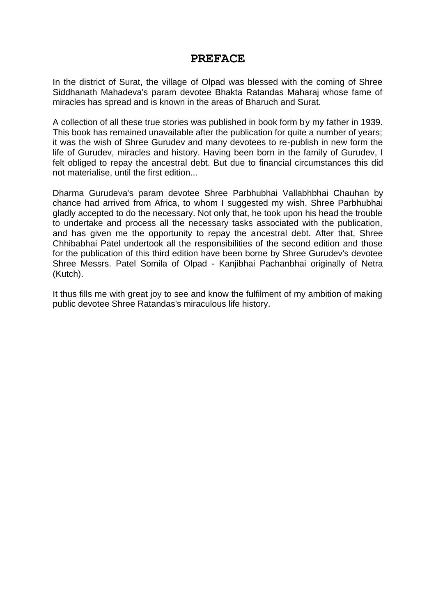## **PREFACE**

In the district of Surat, the village of Olpad was blessed with the coming of Shree Siddhanath Mahadeva's param devotee Bhakta Ratandas Maharaj whose fame of miracles has spread and is known in the areas of Bharuch and Surat.

A collection of all these true stories was published in book form by my father in 1939. This book has remained unavailable after the publication for quite a number of years; it was the wish of Shree Gurudev and many devotees to re-publish in new form the life of Gurudev, miracles and history. Having been born in the family of Gurudev, I felt obliged to repay the ancestral debt. But due to financial circumstances this did not materialise, until the first edition...

Dharma Gurudeva's param devotee Shree Parbhubhai Vallabhbhai Chauhan by chance had arrived from Africa, to whom I suggested my wish. Shree Parbhubhai gladly accepted to do the necessary. Not only that, he took upon his head the trouble to undertake and process all the necessary tasks associated with the publication, and has given me the opportunity to repay the ancestral debt. After that, Shree Chhibabhai Patel undertook all the responsibilities of the second edition and those for the publication of this third edition have been borne by Shree Gurudev's devotee Shree Messrs. Patel Somila of Olpad - Kanjibhai Pachanbhai originally of Netra (Kutch).

It thus fills me with great joy to see and know the fulfilment of my ambition of making public devotee Shree Ratandas's miraculous life history.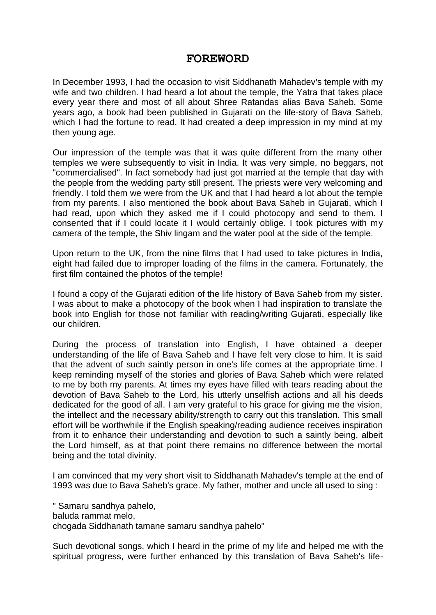## **FOREWORD**

In December 1993, I had the occasion to visit Siddhanath Mahadev's temple with my wife and two children. I had heard a lot about the temple, the Yatra that takes place every year there and most of all about Shree Ratandas alias Bava Saheb. Some years ago, a book had been published in Gujarati on the life-story of Bava Saheb, which I had the fortune to read. It had created a deep impression in my mind at my then young age.

Our impression of the temple was that it was quite different from the many other temples we were subsequently to visit in India. It was very simple, no beggars, not "commercialised". In fact somebody had just got married at the temple that day with the people from the wedding party still present. The priests were very welcoming and friendly. I told them we were from the UK and that I had heard a lot about the temple from my parents. I also mentioned the book about Bava Saheb in Gujarati, which I had read, upon which they asked me if I could photocopy and send to them. I consented that if I could locate it I would certainly oblige. I took pictures with my camera of the temple, the Shiv lingam and the water pool at the side of the temple.

Upon return to the UK, from the nine films that I had used to take pictures in India, eight had failed due to improper loading of the films in the camera. Fortunately, the first film contained the photos of the temple!

I found a copy of the Gujarati edition of the life history of Bava Saheb from my sister. I was about to make a photocopy of the book when I had inspiration to translate the book into English for those not familiar with reading/writing Gujarati, especially like our children.

During the process of translation into English, I have obtained a deeper understanding of the life of Bava Saheb and I have felt very close to him. It is said that the advent of such saintly person in one's life comes at the appropriate time. I keep reminding myself of the stories and glories of Bava Saheb which were related to me by both my parents. At times my eyes have filled with tears reading about the devotion of Bava Saheb to the Lord, his utterly unselfish actions and all his deeds dedicated for the good of all. I am very grateful to his grace for giving me the vision, the intellect and the necessary ability/strength to carry out this translation. This small effort will be worthwhile if the English speaking/reading audience receives inspiration from it to enhance their understanding and devotion to such a saintly being, albeit the Lord himself, as at that point there remains no difference between the mortal being and the total divinity.

I am convinced that my very short visit to Siddhanath Mahadev's temple at the end of 1993 was due to Bava Saheb's grace. My father, mother and uncle all used to sing :

" Samaru sandhya pahelo, baluda rammat melo, chogada Siddhanath tamane samaru sandhya pahelo"

Such devotional songs, which I heard in the prime of my life and helped me with the spiritual progress, were further enhanced by this translation of Bava Saheb's life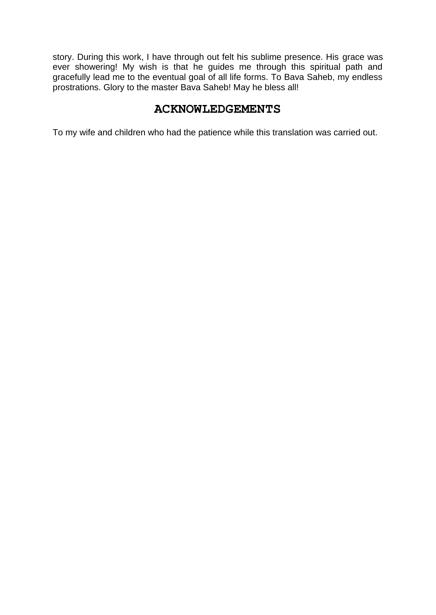story. During this work, I have through out felt his sublime presence. His grace was ever showering! My wish is that he guides me through this spiritual path and gracefully lead me to the eventual goal of all life forms. To Bava Saheb, my endless prostrations. Glory to the master Bava Saheb! May he bless all!

# **ACKNOWLEDGEMENTS**

To my wife and children who had the patience while this translation was carried out.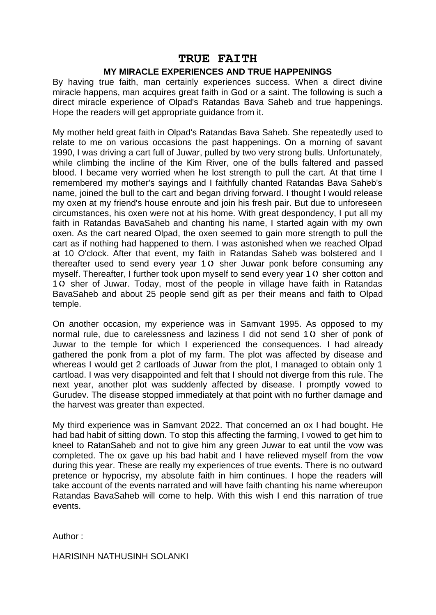## **TRUE FAITH**

#### **MY MIRACLE EXPERIENCES AND TRUE HAPPENINGS**

By having true faith, man certainly experiences success. When a direct divine miracle happens, man acquires great faith in God or a saint. The following is such a direct miracle experience of Olpad's Ratandas Bava Saheb and true happenings. Hope the readers will get appropriate guidance from it.

My mother held great faith in Olpad's Ratandas Bava Saheb. She repeatedly used to relate to me on various occasions the past happenings. On a morning of savant 1990, I was driving a cart full of Juwar, pulled by two very strong bulls. Unfortunately, while climbing the incline of the Kim River, one of the bulls faltered and passed blood. I became very worried when he lost strength to pull the cart. At that time I remembered my mother's sayings and I faithfully chanted Ratandas Bava Saheb's name, joined the bull to the cart and began driving forward. I thought I would release my oxen at my friend's house enroute and join his fresh pair. But due to unforeseen circumstances, his oxen were not at his home. With great despondency, I put all my faith in Ratandas BavaSaheb and chanting his name, I started again with my own oxen. As the cart neared Olpad, the oxen seemed to gain more strength to pull the cart as if nothing had happened to them. I was astonished when we reached Olpad at 10 O'clock. After that event, my faith in Ratandas Saheb was bolstered and I thereafter used to send every year  $1 \Omega$  sher Juwar ponk before consuming any myself. Thereafter, I further took upon myself to send every year 1<sup>(t)</sup> sher cotton and 1<sup>()</sup> sher of Juwar. Today, most of the people in village have faith in Ratandas BavaSaheb and about 25 people send gift as per their means and faith to Olpad temple.

On another occasion, my experience was in Samvant 1995. As opposed to my normal rule, due to carelessness and laziness I did not send  $1 \Omega$  sher of ponk of Juwar to the temple for which I experienced the consequences. I had already gathered the ponk from a plot of my farm. The plot was affected by disease and whereas I would get 2 cartloads of Juwar from the plot, I managed to obtain only 1 cartload. I was very disappointed and felt that I should not diverge from this rule. The next year, another plot was suddenly affected by disease. I promptly vowed to Gurudev. The disease stopped immediately at that point with no further damage and the harvest was greater than expected.

My third experience was in Samvant 2022. That concerned an ox I had bought. He had bad habit of sitting down. To stop this affecting the farming, I vowed to get him to kneel to RatanSaheb and not to give him any green Juwar to eat until the vow was completed. The ox gave up his bad habit and I have relieved myself from the vow during this year. These are really my experiences of true events. There is no outward pretence or hypocrisy, my absolute faith in him continues. I hope the readers will take account of the events narrated and will have faith chanting his name whereupon Ratandas BavaSaheb will come to help. With this wish I end this narration of true events.

Author :

HARISINH NATHUSINH SOLANKI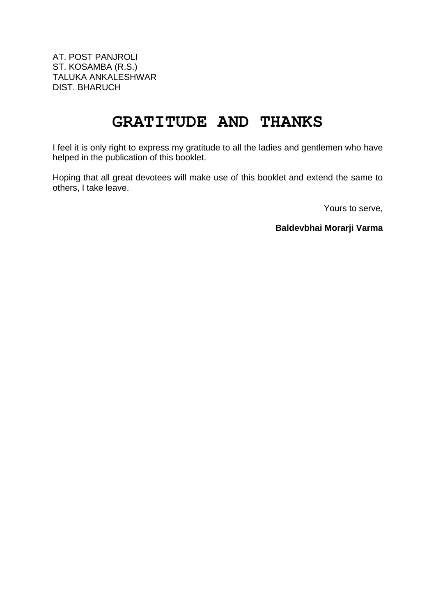AT. POST PANJROLI ST. KOSAMBA (R.S.) TALUKA ANKALESHWAR DIST. BHARUCH

# **GRATITUDE AND THANKS**

I feel it is only right to express my gratitude to all the ladies and gentlemen who have helped in the publication of this booklet.

Hoping that all great devotees will make use of this booklet and extend the same to others, I take leave.

Yours to serve,

**Baldevbhai Morarji Varma**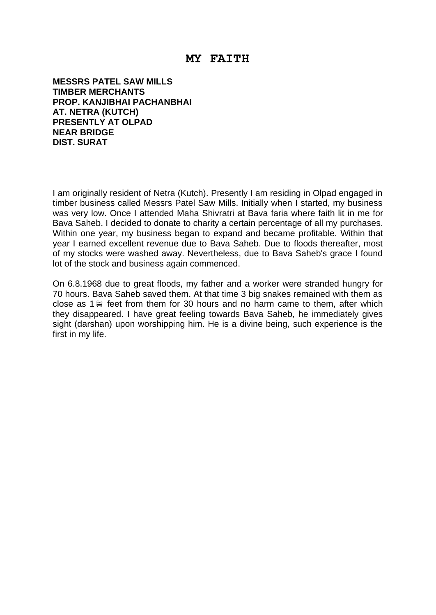## **MY FAITH**

**MESSRS PATEL SAW MILLS TIMBER MERCHANTS PROP. KANJIBHAI PACHANBHAI AT. NETRA (KUTCH) PRESENTLY AT OLPAD NEAR BRIDGE DIST. SURAT**

I am originally resident of Netra (Kutch). Presently I am residing in Olpad engaged in timber business called Messrs Patel Saw Mills. Initially when I started, my business was very low. Once I attended Maha Shivratri at Bava faria where faith lit in me for Bava Saheb. I decided to donate to charity a certain percentage of all my purchases. Within one year, my business began to expand and became profitable. Within that year I earned excellent revenue due to Bava Saheb. Due to floods thereafter, most of my stocks were washed away. Nevertheless, due to Bava Saheb's grace I found lot of the stock and business again commenced.

On 6.8.1968 due to great floods, my father and a worker were stranded hungry for 70 hours. Bava Saheb saved them. At that time 3 big snakes remained with them as close as  $1 \ncong$  feet from them for 30 hours and no harm came to them, after which they disappeared. I have great feeling towards Bava Saheb, he immediately gives sight (darshan) upon worshipping him. He is a divine being, such experience is the first in my life.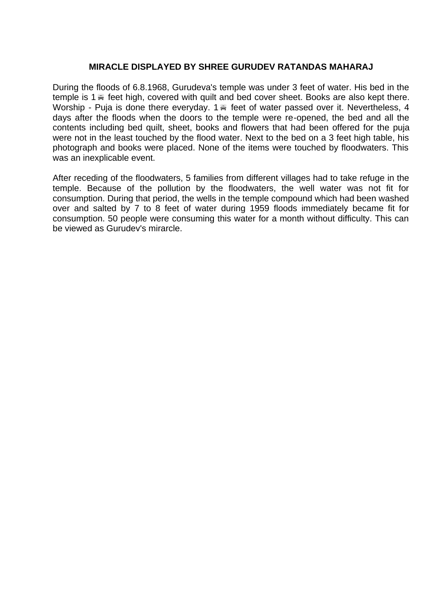### **MIRACLE DISPLAYED BY SHREE GURUDEV RATANDAS MAHARAJ**

During the floods of 6.8.1968, Gurudeva's temple was under 3 feet of water. His bed in the temple is 1 $\le$  feet high, covered with quilt and bed cover sheet. Books are also kept there. Worship - Puja is done there everyday. 1 feet of water passed over it. Nevertheless, 4 days after the floods when the doors to the temple were re-opened, the bed and all the contents including bed quilt, sheet, books and flowers that had been offered for the puja were not in the least touched by the flood water. Next to the bed on a 3 feet high table, his photograph and books were placed. None of the items were touched by floodwaters. This was an inexplicable event.

After receding of the floodwaters, 5 families from different villages had to take refuge in the temple. Because of the pollution by the floodwaters, the well water was not fit for consumption. During that period, the wells in the temple compound which had been washed over and salted by 7 to 8 feet of water during 1959 floods immediately became fit for consumption. 50 people were consuming this water for a month without difficulty. This can be viewed as Gurudev's mirarcle.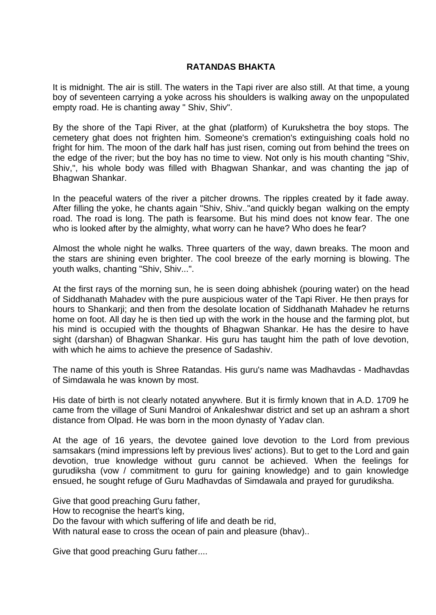### **RATANDAS BHAKTA**

It is midnight. The air is still. The waters in the Tapi river are also still. At that time, a young boy of seventeen carrying a yoke across his shoulders is walking away on the unpopulated empty road. He is chanting away " Shiv, Shiv".

By the shore of the Tapi River, at the ghat (platform) of Kurukshetra the boy stops. The cemetery ghat does not frighten him. Someone's cremation's extinguishing coals hold no fright for him. The moon of the dark half has just risen, coming out from behind the trees on the edge of the river; but the boy has no time to view. Not only is his mouth chanting "Shiv, Shiv,", his whole body was filled with Bhagwan Shankar, and was chanting the jap of Bhagwan Shankar.

In the peaceful waters of the river a pitcher drowns. The ripples created by it fade away. After filling the yoke, he chants again "Shiv, Shiv.."and quickly began walking on the empty road. The road is long. The path is fearsome. But his mind does not know fear. The one who is looked after by the almighty, what worry can he have? Who does he fear?

Almost the whole night he walks. Three quarters of the way, dawn breaks. The moon and the stars are shining even brighter. The cool breeze of the early morning is blowing. The youth walks, chanting "Shiv, Shiv...".

At the first rays of the morning sun, he is seen doing abhishek (pouring water) on the head of Siddhanath Mahadev with the pure auspicious water of the Tapi River. He then prays for hours to Shankarji; and then from the desolate location of Siddhanath Mahadev he returns home on foot. All day he is then tied up with the work in the house and the farming plot, but his mind is occupied with the thoughts of Bhagwan Shankar. He has the desire to have sight (darshan) of Bhagwan Shankar. His guru has taught him the path of love devotion, with which he aims to achieve the presence of Sadashiv.

The name of this youth is Shree Ratandas. His guru's name was Madhavdas - Madhavdas of Simdawala he was known by most.

His date of birth is not clearly notated anywhere. But it is firmly known that in A.D. 1709 he came from the village of Suni Mandroi of Ankaleshwar district and set up an ashram a short distance from Olpad. He was born in the moon dynasty of Yadav clan.

At the age of 16 years, the devotee gained love devotion to the Lord from previous samsakars (mind impressions left by previous lives' actions). But to get to the Lord and gain devotion, true knowledge without guru cannot be achieved. When the feelings for gurudiksha (vow / commitment to guru for gaining knowledge) and to gain knowledge ensued, he sought refuge of Guru Madhavdas of Simdawala and prayed for gurudiksha.

Give that good preaching Guru father, How to recognise the heart's king, Do the favour with which suffering of life and death be rid, With natural ease to cross the ocean of pain and pleasure (bhav)..

Give that good preaching Guru father....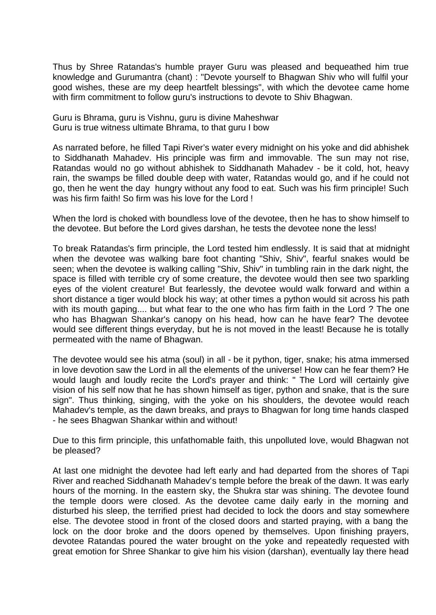Thus by Shree Ratandas's humble prayer Guru was pleased and bequeathed him true knowledge and Gurumantra (chant) : "Devote yourself to Bhagwan Shiv who will fulfil your good wishes, these are my deep heartfelt blessings", with which the devotee came home with firm commitment to follow guru's instructions to devote to Shiv Bhagwan.

Guru is Bhrama, guru is Vishnu, guru is divine Maheshwar Guru is true witness ultimate Bhrama, to that guru I bow

As narrated before, he filled Tapi River's water every midnight on his yoke and did abhishek to Siddhanath Mahadev. His principle was firm and immovable. The sun may not rise, Ratandas would no go without abhishek to Siddhanath Mahadev - be it cold, hot, heavy rain, the swamps be filled double deep with water, Ratandas would go, and if he could not go, then he went the day hungry without any food to eat. Such was his firm principle! Such was his firm faith! So firm was his love for the Lord !

When the lord is choked with boundless love of the devotee, then he has to show himself to the devotee. But before the Lord gives darshan, he tests the devotee none the less!

To break Ratandas's firm principle, the Lord tested him endlessly. It is said that at midnight when the devotee was walking bare foot chanting "Shiv, Shiv", fearful snakes would be seen; when the devotee is walking calling "Shiv, Shiv" in tumbling rain in the dark night, the space is filled with terrible cry of some creature, the devotee would then see two sparkling eyes of the violent creature! But fearlessly, the devotee would walk forward and within a short distance a tiger would block his way; at other times a python would sit across his path with its mouth gaping.... but what fear to the one who has firm faith in the Lord ? The one who has Bhagwan Shankar's canopy on his head, how can he have fear? The devotee would see different things everyday, but he is not moved in the least! Because he is totally permeated with the name of Bhagwan.

The devotee would see his atma (soul) in all - be it python, tiger, snake; his atma immersed in love devotion saw the Lord in all the elements of the universe! How can he fear them? He would laugh and loudly recite the Lord's prayer and think: " The Lord will certainly give vision of his self now that he has shown himself as tiger, python and snake, that is the sure sign". Thus thinking, singing, with the yoke on his shoulders, the devotee would reach Mahadev's temple, as the dawn breaks, and prays to Bhagwan for long time hands clasped - he sees Bhagwan Shankar within and without!

Due to this firm principle, this unfathomable faith, this unpolluted love, would Bhagwan not be pleased?

At last one midnight the devotee had left early and had departed from the shores of Tapi River and reached Siddhanath Mahadev's temple before the break of the dawn. It was early hours of the morning. In the eastern sky, the Shukra star was shining. The devotee found the temple doors were closed. As the devotee came daily early in the morning and disturbed his sleep, the terrified priest had decided to lock the doors and stay somewhere else. The devotee stood in front of the closed doors and started praying, with a bang the lock on the door broke and the doors opened by themselves. Upon finishing prayers, devotee Ratandas poured the water brought on the yoke and repeatedly requested with great emotion for Shree Shankar to give him his vision (darshan), eventually lay there head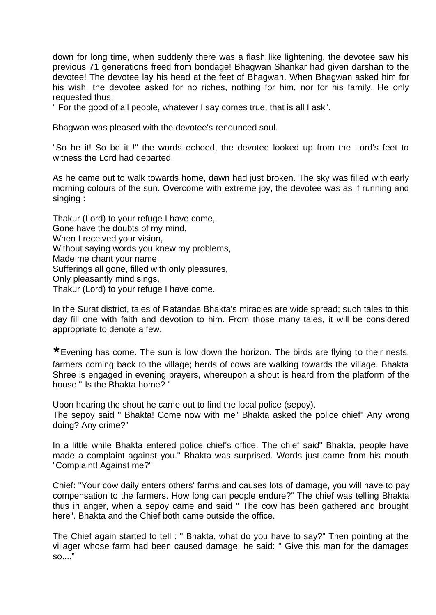down for long time, when suddenly there was a flash like lightening, the devotee saw his previous 71 generations freed from bondage! Bhagwan Shankar had given darshan to the devotee! The devotee lay his head at the feet of Bhagwan. When Bhagwan asked him for his wish, the devotee asked for no riches, nothing for him, nor for his family. He only requested thus:

" For the good of all people, whatever I say comes true, that is all I ask".

Bhagwan was pleased with the devotee's renounced soul.

"So be it! So be it !" the words echoed, the devotee looked up from the Lord's feet to witness the Lord had departed.

As he came out to walk towards home, dawn had just broken. The sky was filled with early morning colours of the sun. Overcome with extreme joy, the devotee was as if running and singing :

Thakur (Lord) to your refuge I have come, Gone have the doubts of my mind, When I received your vision, Without saying words you knew my problems, Made me chant your name, Sufferings all gone, filled with only pleasures, Only pleasantly mind sings, Thakur (Lord) to your refuge I have come.

In the Surat district, tales of Ratandas Bhakta's miracles are wide spread; such tales to this day fill one with faith and devotion to him. From those many tales, it will be considered appropriate to denote a few.

**\***Evening has come. The sun is low down the horizon. The birds are flying to their nests, farmers coming back to the village; herds of cows are walking towards the village. Bhakta Shree is engaged in evening prayers, whereupon a shout is heard from the platform of the house " Is the Bhakta home? "

Upon hearing the shout he came out to find the local police (sepoy).

The sepoy said " Bhakta! Come now with me" Bhakta asked the police chief" Any wrong doing? Any crime?"

In a little while Bhakta entered police chief's office. The chief said" Bhakta, people have made a complaint against you." Bhakta was surprised. Words just came from his mouth "Complaint! Against me?"

Chief: "Your cow daily enters others' farms and causes lots of damage, you will have to pay compensation to the farmers. How long can people endure?" The chief was telling Bhakta thus in anger, when a sepoy came and said " The cow has been gathered and brought here". Bhakta and the Chief both came outside the office.

The Chief again started to tell : " Bhakta, what do you have to say?" Then pointing at the villager whose farm had been caused damage, he said: " Give this man for the damages so...."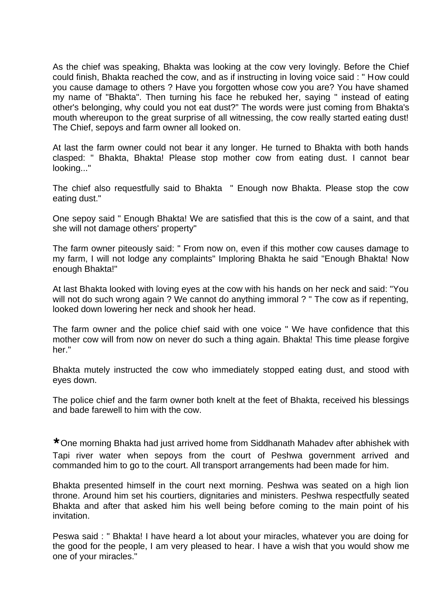As the chief was speaking, Bhakta was looking at the cow very lovingly. Before the Chief could finish, Bhakta reached the cow, and as if instructing in loving voice said : " How could you cause damage to others ? Have you forgotten whose cow you are? You have shamed my name of "Bhakta". Then turning his face he rebuked her, saying " instead of eating other's belonging, why could you not eat dust?" The words were just coming from Bhakta's mouth whereupon to the great surprise of all witnessing, the cow really started eating dust! The Chief, sepoys and farm owner all looked on.

At last the farm owner could not bear it any longer. He turned to Bhakta with both hands clasped: " Bhakta, Bhakta! Please stop mother cow from eating dust. I cannot bear looking..."

The chief also requestfully said to Bhakta " Enough now Bhakta. Please stop the cow eating dust."

One sepoy said " Enough Bhakta! We are satisfied that this is the cow of a saint, and that she will not damage others' property"

The farm owner piteously said: " From now on, even if this mother cow causes damage to my farm, I will not lodge any complaints" Imploring Bhakta he said "Enough Bhakta! Now enough Bhakta!"

At last Bhakta looked with loving eyes at the cow with his hands on her neck and said: "You will not do such wrong again ? We cannot do anything immoral ? " The cow as if repenting, looked down lowering her neck and shook her head.

The farm owner and the police chief said with one voice " We have confidence that this mother cow will from now on never do such a thing again. Bhakta! This time please forgive her."

Bhakta mutely instructed the cow who immediately stopped eating dust, and stood with eyes down.

The police chief and the farm owner both knelt at the feet of Bhakta, received his blessings and bade farewell to him with the cow.

**\***One morning Bhakta had just arrived home from Siddhanath Mahadev after abhishek with Tapi river water when sepoys from the court of Peshwa government arrived and commanded him to go to the court. All transport arrangements had been made for him.

Bhakta presented himself in the court next morning. Peshwa was seated on a high lion throne. Around him set his courtiers, dignitaries and ministers. Peshwa respectfully seated Bhakta and after that asked him his well being before coming to the main point of his invitation.

Peswa said : " Bhakta! I have heard a lot about your miracles, whatever you are doing for the good for the people, I am very pleased to hear. I have a wish that you would show me one of your miracles."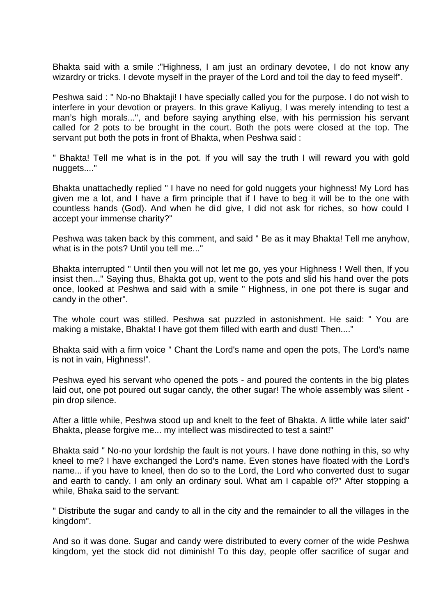Bhakta said with a smile :"Highness, I am just an ordinary devotee, I do not know any wizardry or tricks. I devote myself in the prayer of the Lord and toil the day to feed myself".

Peshwa said : " No-no Bhaktaji! I have specially called you for the purpose. I do not wish to interfere in your devotion or prayers. In this grave Kaliyug, I was merely intending to test a man's high morals...", and before saying anything else, with his permission his servant called for 2 pots to be brought in the court. Both the pots were closed at the top. The servant put both the pots in front of Bhakta, when Peshwa said :

" Bhakta! Tell me what is in the pot. If you will say the truth I will reward you with gold nuggets...."

Bhakta unattachedly replied " I have no need for gold nuggets your highness! My Lord has given me a lot, and I have a firm principle that if I have to beg it will be to the one with countless hands (God). And when he did give, I did not ask for riches, so how could I accept your immense charity?"

Peshwa was taken back by this comment, and said " Be as it may Bhakta! Tell me anyhow, what is in the pots? Until you tell me..."

Bhakta interrupted " Until then you will not let me go, yes your Highness ! Well then, If you insist then..." Saying thus, Bhakta got up, went to the pots and slid his hand over the pots once, looked at Peshwa and said with a smile " Highness, in one pot there is sugar and candy in the other".

The whole court was stilled. Peshwa sat puzzled in astonishment. He said: " You are making a mistake, Bhakta! I have got them filled with earth and dust! Then...."

Bhakta said with a firm voice " Chant the Lord's name and open the pots, The Lord's name is not in vain, Highness!".

Peshwa eyed his servant who opened the pots - and poured the contents in the big plates laid out, one pot poured out sugar candy, the other sugar! The whole assembly was silent pin drop silence.

After a little while, Peshwa stood up and knelt to the feet of Bhakta. A little while later said" Bhakta, please forgive me... my intellect was misdirected to test a saint!"

Bhakta said " No-no your lordship the fault is not yours. I have done nothing in this, so why kneel to me? I have exchanged the Lord's name. Even stones have floated with the Lord's name... if you have to kneel, then do so to the Lord, the Lord who converted dust to sugar and earth to candy. I am only an ordinary soul. What am I capable of?" After stopping a while, Bhaka said to the servant:

" Distribute the sugar and candy to all in the city and the remainder to all the villages in the kingdom".

And so it was done. Sugar and candy were distributed to every corner of the wide Peshwa kingdom, yet the stock did not diminish! To this day, people offer sacrifice of sugar and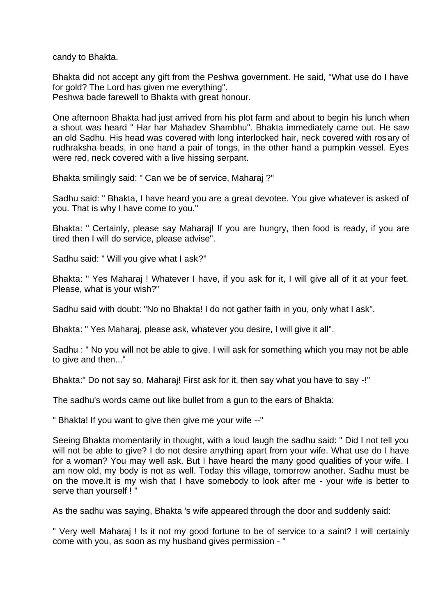candy to Bhakta.

Bhakta did not accept any gift from the Peshwa government. He said, "What use do I have for gold? The Lord has given me everything".

Peshwa bade farewell to Bhakta with great honour.

One afternoon Bhakta had just arrived from his plot farm and about to begin his lunch when a shout was heard " Har har Mahadev Shambhu". Bhakta immediately came out. He saw an old Sadhu. His head was covered with long interlocked hair, neck covered with rosary of rudhraksha beads, in one hand a pair of tongs, in the other hand a pumpkin vessel. Eyes were red, neck covered with a live hissing serpant.

Bhakta smilingly said: " Can we be of service, Maharaj ?"

Sadhu said: " Bhakta, I have heard you are a great devotee. You give whatever is asked of you. That is why I have come to you."

Bhakta: " Certainly, please say Maharaj! If you are hungry, then food is ready, if you are tired then I will do service, please advise".

Sadhu said: " Will you give what I ask?"

Bhakta: " Yes Maharaj ! Whatever I have, if you ask for it, I will give all of it at your feet. Please, what is your wish?"

Sadhu said with doubt: "No no Bhakta! I do not gather faith in you, only what I ask".

Bhakta: " Yes Maharaj, please ask, whatever you desire, I will give it all".

Sadhu : " No you will not be able to give. I will ask for something which you may not be able to give and then..."

Bhakta:" Do not say so, Maharaj! First ask for it, then say what you have to say -!"

The sadhu's words came out like bullet from a gun to the ears of Bhakta:

" Bhakta! If you want to give then give me your wife --"

Seeing Bhakta momentarily in thought, with a loud laugh the sadhu said: " Did I not tell you will not be able to give? I do not desire anything apart from your wife. What use do I have for a woman? You may well ask. But I have heard the many good qualities of your wife. I am now old, my body is not as well. Today this village, tomorrow another. Sadhu must be on the move.It is my wish that I have somebody to look after me - your wife is better to serve than yourself ! "

As the sadhu was saying, Bhakta 's wife appeared through the door and suddenly said:

" Very well Maharaj ! Is it not my good fortune to be of service to a saint? I will certainly come with you, as soon as my husband gives permission - "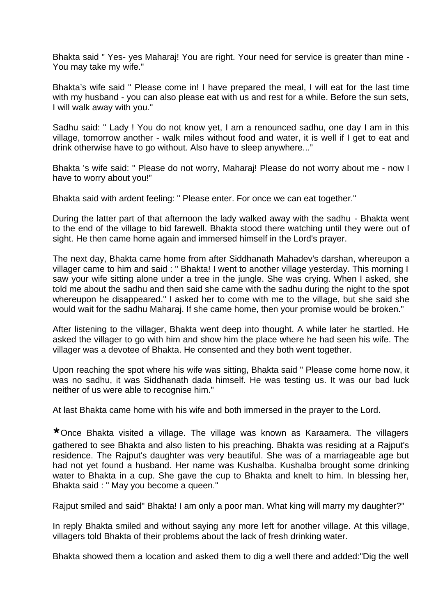Bhakta said " Yes- yes Maharaj! You are right. Your need for service is greater than mine - You may take my wife."

Bhakta's wife said " Please come in! I have prepared the meal, I will eat for the last time with my husband - you can also please eat with us and rest for a while. Before the sun sets, I will walk away with you."

Sadhu said: " Lady ! You do not know yet, I am a renounced sadhu, one day I am in this village, tomorrow another - walk miles without food and water, it is well if I get to eat and drink otherwise have to go without. Also have to sleep anywhere..."

Bhakta 's wife said: " Please do not worry, Maharaj! Please do not worry about me - now I have to worry about you!"

Bhakta said with ardent feeling: " Please enter. For once we can eat together."

During the latter part of that afternoon the lady walked away with the sadhu - Bhakta went to the end of the village to bid farewell. Bhakta stood there watching until they were out of sight. He then came home again and immersed himself in the Lord's prayer.

The next day, Bhakta came home from after Siddhanath Mahadev's darshan, whereupon a villager came to him and said : " Bhakta! I went to another village yesterday. This morning I saw your wife sitting alone under a tree in the jungle. She was crying. When I asked, she told me about the sadhu and then said she came with the sadhu during the night to the spot whereupon he disappeared." I asked her to come with me to the village, but she said she would wait for the sadhu Maharaj. If she came home, then your promise would be broken."

After listening to the villager, Bhakta went deep into thought. A while later he startled. He asked the villager to go with him and show him the place where he had seen his wife. The villager was a devotee of Bhakta. He consented and they both went together.

Upon reaching the spot where his wife was sitting, Bhakta said " Please come home now, it was no sadhu, it was Siddhanath dada himself. He was testing us. It was our bad luck neither of us were able to recognise him."

At last Bhakta came home with his wife and both immersed in the prayer to the Lord.

**\***Once Bhakta visited a village. The village was known as Karaamera. The villagers gathered to see Bhakta and also listen to his preaching. Bhakta was residing at a Rajput's residence. The Rajput's daughter was very beautiful. She was of a marriageable age but had not yet found a husband. Her name was Kushalba. Kushalba brought some drinking water to Bhakta in a cup. She gave the cup to Bhakta and knelt to him. In blessing her, Bhakta said : " May you become a queen."

Rajput smiled and said" Bhakta! I am only a poor man. What king will marry my daughter?"

In reply Bhakta smiled and without saying any more left for another village. At this village, villagers told Bhakta of their problems about the lack of fresh drinking water.

Bhakta showed them a location and asked them to dig a well there and added:"Dig the well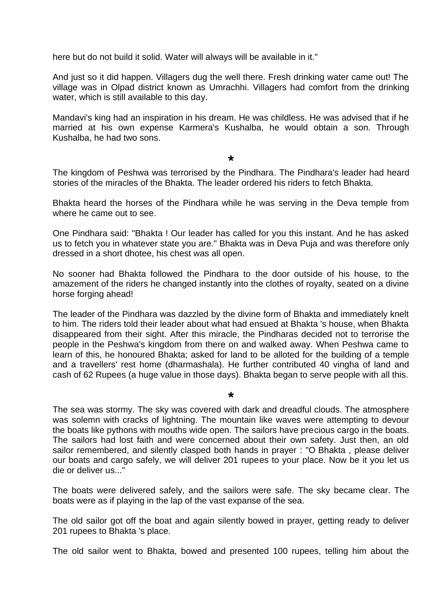here but do not build it solid. Water will always will be available in it."

And just so it did happen. Villagers dug the well there. Fresh drinking water came out! The village was in Olpad district known as Umrachhi. Villagers had comfort from the drinking water, which is still available to this day.

Mandavi's king had an inspiration in his dream. He was childless. He was advised that if he married at his own expense Karmera's Kushalba, he would obtain a son. Through Kushalba, he had two sons.

#### **\***

The kingdom of Peshwa was terrorised by the Pindhara. The Pindhara's leader had heard stories of the miracles of the Bhakta. The leader ordered his riders to fetch Bhakta.

Bhakta heard the horses of the Pindhara while he was serving in the Deva temple from where he came out to see.

One Pindhara said: "Bhakta ! Our leader has called for you this instant. And he has asked us to fetch you in whatever state you are." Bhakta was in Deva Puja and was therefore only dressed in a short dhotee, his chest was all open.

No sooner had Bhakta followed the Pindhara to the door outside of his house, to the amazement of the riders he changed instantly into the clothes of royalty, seated on a divine horse forging ahead!

The leader of the Pindhara was dazzled by the divine form of Bhakta and immediately knelt to him. The riders told their leader about what had ensued at Bhakta 's house, when Bhakta disappeared from their sight. After this miracle, the Pindharas decided not to terrorise the people in the Peshwa's kingdom from there on and walked away. When Peshwa came to learn of this, he honoured Bhakta; asked for land to be alloted for the building of a temple and a travellers' rest home (dharmashala). He further contributed 40 vingha of land and cash of 62 Rupees (a huge value in those days). Bhakta began to serve people with all this.

#### **\***

The sea was stormy. The sky was covered with dark and dreadful clouds. The atmosphere was solemn with cracks of lightning. The mountain like waves were attempting to devour the boats like pythons with mouths wide open. The sailors have precious cargo in the boats. The sailors had lost faith and were concerned about their own safety. Just then, an old sailor remembered, and silently clasped both hands in prayer : "O Bhakta , please deliver our boats and cargo safely, we will deliver 201 rupees to your place. Now be it you let us die or deliver us..."

The boats were delivered safely, and the sailors were safe. The sky became clear. The boats were as if playing in the lap of the vast expanse of the sea.

The old sailor got off the boat and again silently bowed in prayer, getting ready to deliver 201 rupees to Bhakta 's place.

The old sailor went to Bhakta, bowed and presented 100 rupees, telling him about the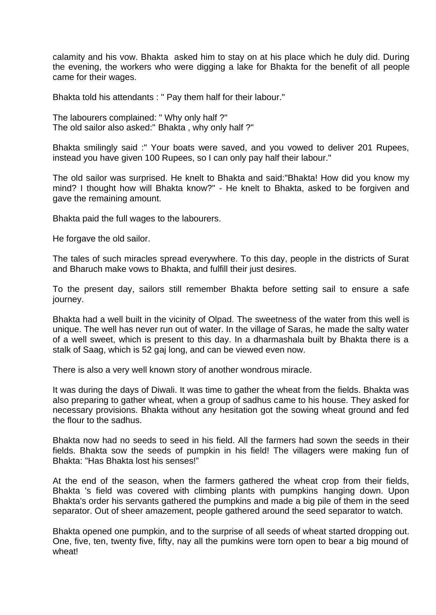calamity and his vow. Bhakta asked him to stay on at his place which he duly did. During the evening, the workers who were digging a lake for Bhakta for the benefit of all people came for their wages.

Bhakta told his attendants : " Pay them half for their labour."

The labourers complained: " Why only half ?" The old sailor also asked:" Bhakta , why only half ?"

Bhakta smilingly said :" Your boats were saved, and you vowed to deliver 201 Rupees, instead you have given 100 Rupees, so I can only pay half their labour."

The old sailor was surprised. He knelt to Bhakta and said:"Bhakta! How did you know my mind? I thought how will Bhakta know?" - He knelt to Bhakta, asked to be forgiven and gave the remaining amount.

Bhakta paid the full wages to the labourers.

He forgave the old sailor.

The tales of such miracles spread everywhere. To this day, people in the districts of Surat and Bharuch make vows to Bhakta, and fulfill their just desires.

To the present day, sailors still remember Bhakta before setting sail to ensure a safe journey.

Bhakta had a well built in the vicinity of Olpad. The sweetness of the water from this well is unique. The well has never run out of water. In the village of Saras, he made the salty water of a well sweet, which is present to this day. In a dharmashala built by Bhakta there is a stalk of Saag, which is 52 gaj long, and can be viewed even now.

There is also a very well known story of another wondrous miracle.

It was during the days of Diwali. It was time to gather the wheat from the fields. Bhakta was also preparing to gather wheat, when a group of sadhus came to his house. They asked for necessary provisions. Bhakta without any hesitation got the sowing wheat ground and fed the flour to the sadhus.

Bhakta now had no seeds to seed in his field. All the farmers had sown the seeds in their fields. Bhakta sow the seeds of pumpkin in his field! The villagers were making fun of Bhakta: "Has Bhakta lost his senses!"

At the end of the season, when the farmers gathered the wheat crop from their fields, Bhakta 's field was covered with climbing plants with pumpkins hanging down. Upon Bhakta's order his servants gathered the pumpkins and made a big pile of them in the seed separator. Out of sheer amazement, people gathered around the seed separator to watch.

Bhakta opened one pumpkin, and to the surprise of all seeds of wheat started dropping out. One, five, ten, twenty five, fifty, nay all the pumkins were torn open to bear a big mound of wheat!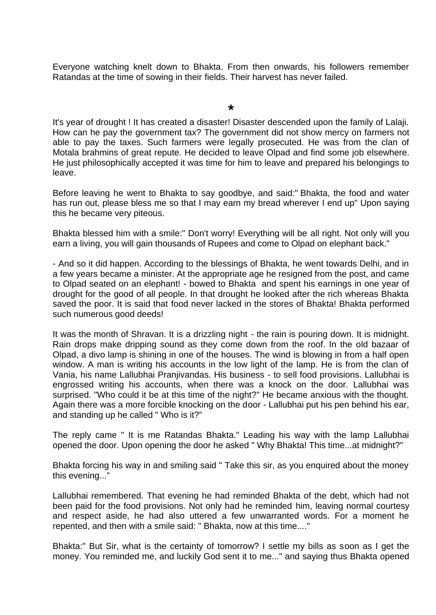Everyone watching knelt down to Bhakta. From then onwards, his followers remember Ratandas at the time of sowing in their fields. Their harvest has never failed.

**\***

It's year of drought ! It has created a disaster! Disaster descended upon the family of Lalaji. How can he pay the government tax? The government did not show mercy on farmers not able to pay the taxes. Such farmers were legally prosecuted. He was from the clan of Motala brahmins of great repute. He decided to leave Olpad and find some job elsewhere. He just philosophically accepted it was time for him to leave and prepared his belongings to leave.

Before leaving he went to Bhakta to say goodbye, and said:" Bhakta, the food and water has run out, please bless me so that I may earn my bread wherever I end up" Upon saying this he became very piteous.

Bhakta blessed him with a smile:" Don't worry! Everything will be all right. Not only will you earn a living, you will gain thousands of Rupees and come to Olpad on elephant back."

- And so it did happen. According to the blessings of Bhakta, he went towards Delhi, and in a few years became a minister. At the appropriate age he resigned from the post, and came to Olpad seated on an elephant! - bowed to Bhakta and spent his earnings in one year of drought for the good of all people. In that drought he looked after the rich whereas Bhakta saved the poor. It is said that food never lacked in the stores of Bhakta! Bhakta performed such numerous good deeds!

It was the month of Shravan. It is a drizzling night - the rain is pouring down. It is midnight. Rain drops make dripping sound as they come down from the roof. In the old bazaar of Olpad, a divo lamp is shining in one of the houses. The wind is blowing in from a half open window. A man is writing his accounts in the low light of the lamp. He is from the clan of Vania, his name Lallubhai Pranjivandas. His business - to sell food provisions. Lallubhai is engrossed writing his accounts, when there was a knock on the door. Lallubhai was surprised. "Who could it be at this time of the night?" He became anxious with the thought. Again there was a more forcible knocking on the door - Lallubhai put his pen behind his ear, and standing up he called " Who is it?"

The reply came " It is me Ratandas Bhakta." Leading his way with the lamp Lallubhai opened the door. Upon opening the door he asked " Why Bhakta! This time...at midnight?"

Bhakta forcing his way in and smiling said " Take this sir, as you enquired about the money this evening..."

Lallubhai remembered. That evening he had reminded Bhakta of the debt, which had not been paid for the food provisions. Not only had he reminded him, leaving normal courtesy and respect aside, he had also uttered a few unwarranted words. For a moment he repented, and then with a smile said: " Bhakta, now at this time...."

Bhakta:" But Sir, what is the certainty of tomorrow? I settle my bills as soon as I get the money. You reminded me, and luckily God sent it to me..." and saying thus Bhakta opened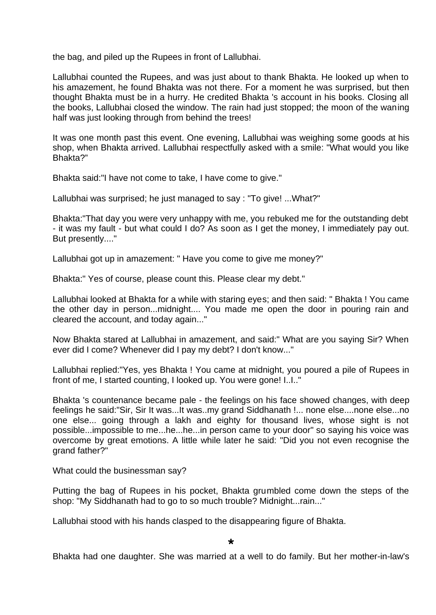the bag, and piled up the Rupees in front of Lallubhai.

Lallubhai counted the Rupees, and was just about to thank Bhakta. He looked up when to his amazement, he found Bhakta was not there. For a moment he was surprised, but then thought Bhakta must be in a hurry. He credited Bhakta 's account in his books. Closing all the books, Lallubhai closed the window. The rain had just stopped; the moon of the waning half was just looking through from behind the trees!

It was one month past this event. One evening, Lallubhai was weighing some goods at his shop, when Bhakta arrived. Lallubhai respectfully asked with a smile: "What would you like Bhakta?"

Bhakta said:"I have not come to take, I have come to give."

Lallubhai was surprised; he just managed to say : "To give! ...What?"

Bhakta:"That day you were very unhappy with me, you rebuked me for the outstanding debt - it was my fault - but what could I do? As soon as I get the money, I immediately pay out. But presently...."

Lallubhai got up in amazement: " Have you come to give me money?"

Bhakta:" Yes of course, please count this. Please clear my debt."

Lallubhai looked at Bhakta for a while with staring eyes; and then said: " Bhakta ! You came the other day in person...midnight.... You made me open the door in pouring rain and cleared the account, and today again..."

Now Bhakta stared at Lallubhai in amazement, and said:" What are you saying Sir? When ever did I come? Whenever did I pay my debt? I don't know..."

Lallubhai replied:"Yes, yes Bhakta ! You came at midnight, you poured a pile of Rupees in front of me, I started counting, I looked up. You were gone! I..I.."

Bhakta 's countenance became pale - the feelings on his face showed changes, with deep feelings he said:"Sir, Sir It was...It was..my grand Siddhanath !... none else....none else...no one else... going through a lakh and eighty for thousand lives, whose sight is not possible...impossible to me...he...he...in person came to your door" so saying his voice was overcome by great emotions. A little while later he said: "Did you not even recognise the grand father?"

What could the businessman say?

Putting the bag of Rupees in his pocket, Bhakta grumbled come down the steps of the shop: "My Siddhanath had to go to so much trouble? Midnight...rain..."

Lallubhai stood with his hands clasped to the disappearing figure of Bhakta.

**\***

Bhakta had one daughter. She was married at a well to do family. But her mother-in-law's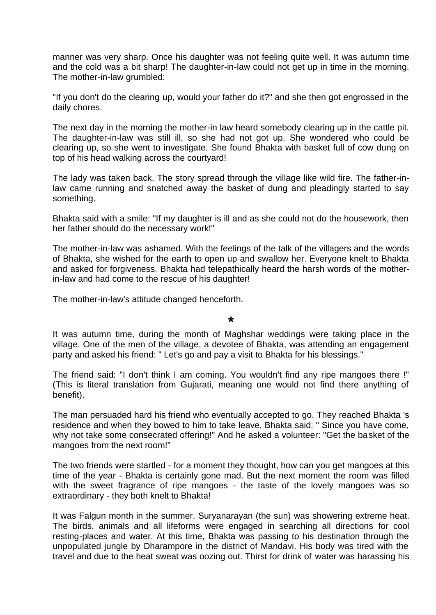manner was very sharp. Once his daughter was not feeling quite well. It was autumn time and the cold was a bit sharp! The daughter-in-law could not get up in time in the morning. The mother-in-law grumbled:

"If you don't do the clearing up, would your father do it?" and she then got engrossed in the daily chores.

The next day in the morning the mother-in law heard somebody clearing up in the cattle pit. The daughter-in-law was still ill, so she had not got up. She wondered who could be clearing up, so she went to investigate. She found Bhakta with basket full of cow dung on top of his head walking across the courtyard!

The lady was taken back. The story spread through the village like wild fire. The father-inlaw came running and snatched away the basket of dung and pleadingly started to say something.

Bhakta said with a smile: "If my daughter is ill and as she could not do the housework, then her father should do the necessary work!"

The mother-in-law was ashamed. With the feelings of the talk of the villagers and the words of Bhakta, she wished for the earth to open up and swallow her. Everyone knelt to Bhakta and asked for forgiveness. Bhakta had telepathically heard the harsh words of the motherin-law and had come to the rescue of his daughter!

The mother-in-law's attitude changed henceforth.

#### **\***

It was autumn time, during the month of Maghshar weddings were taking place in the village. One of the men of the village, a devotee of Bhakta, was attending an engagement party and asked his friend: " Let's go and pay a visit to Bhakta for his blessings."

The friend said: "I don't think I am coming. You wouldn't find any ripe mangoes there !" (This is literal translation from Gujarati, meaning one would not find there anything of benefit).

The man persuaded hard his friend who eventually accepted to go. They reached Bhakta 's residence and when they bowed to him to take leave, Bhakta said: " Since you have come, why not take some consecrated offering!" And he asked a volunteer: "Get the basket of the mangoes from the next room!"

The two friends were startled - for a moment they thought, how can you get mangoes at this time of the year - Bhakta is certainly gone mad. But the next moment the room was filled with the sweet fragrance of ripe mangoes - the taste of the lovely mangoes was so extraordinary - they both knelt to Bhakta!

It was Falgun month in the summer. Suryanarayan (the sun) was showering extreme heat. The birds, animals and all lifeforms were engaged in searching all directions for cool resting-places and water. At this time, Bhakta was passing to his destination through the unpopulated jungle by Dharampore in the district of Mandavi. His body was tired with the travel and due to the heat sweat was oozing out. Thirst for drink of water was harassing his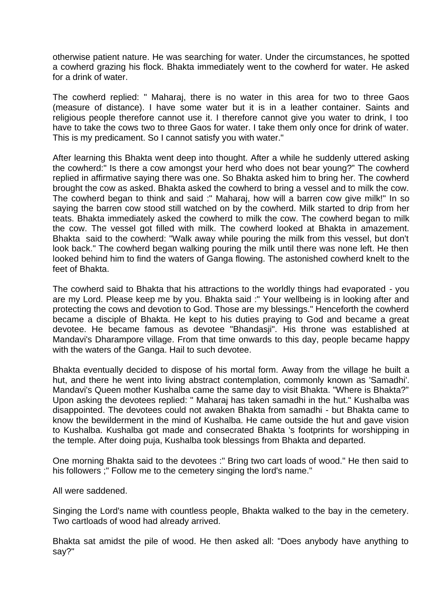otherwise patient nature. He was searching for water. Under the circumstances, he spotted a cowherd grazing his flock. Bhakta immediately went to the cowherd for water. He asked for a drink of water.

The cowherd replied: " Maharaj, there is no water in this area for two to three Gaos (measure of distance). I have some water but it is in a leather container. Saints and religious people therefore cannot use it. I therefore cannot give you water to drink, I too have to take the cows two to three Gaos for water. I take them only once for drink of water. This is my predicament. So I cannot satisfy you with water."

After learning this Bhakta went deep into thought. After a while he suddenly uttered asking the cowherd:" Is there a cow amongst your herd who does not bear young?" The cowherd replied in affirmative saying there was one. So Bhakta asked him to bring her. The cowherd brought the cow as asked. Bhakta asked the cowherd to bring a vessel and to milk the cow. The cowherd began to think and said :" Maharaj, how will a barren cow give milk!" In so saying the barren cow stood still watched on by the cowherd. Milk started to drip from her teats. Bhakta immediately asked the cowherd to milk the cow. The cowherd began to milk the cow. The vessel got filled with milk. The cowherd looked at Bhakta in amazement. Bhakta said to the cowherd: "Walk away while pouring the milk from this vessel, but don't look back." The cowherd began walking pouring the milk until there was none left. He then looked behind him to find the waters of Ganga flowing. The astonished cowherd knelt to the feet of Bhakta.

The cowherd said to Bhakta that his attractions to the worldly things had evaporated - you are my Lord. Please keep me by you. Bhakta said :" Your wellbeing is in looking after and protecting the cows and devotion to God. Those are my blessings." Henceforth the cowherd became a disciple of Bhakta. He kept to his duties praying to God and became a great devotee. He became famous as devotee "Bhandasji". His throne was established at Mandavi's Dharampore village. From that time onwards to this day, people became happy with the waters of the Ganga. Hail to such devotee.

Bhakta eventually decided to dispose of his mortal form. Away from the village he built a hut, and there he went into living abstract contemplation, commonly known as 'Samadhi'. Mandavi's Queen mother Kushalba came the same day to visit Bhakta. "Where is Bhakta?" Upon asking the devotees replied: " Maharaj has taken samadhi in the hut." Kushalba was disappointed. The devotees could not awaken Bhakta from samadhi - but Bhakta came to know the bewilderment in the mind of Kushalba. He came outside the hut and gave vision to Kushalba. Kushalba got made and consecrated Bhakta 's footprints for worshipping in the temple. After doing puja, Kushalba took blessings from Bhakta and departed.

One morning Bhakta said to the devotees :" Bring two cart loads of wood." He then said to his followers ;" Follow me to the cemetery singing the lord's name."

All were saddened.

Singing the Lord's name with countless people, Bhakta walked to the bay in the cemetery. Two cartloads of wood had already arrived.

Bhakta sat amidst the pile of wood. He then asked all: "Does anybody have anything to say?"